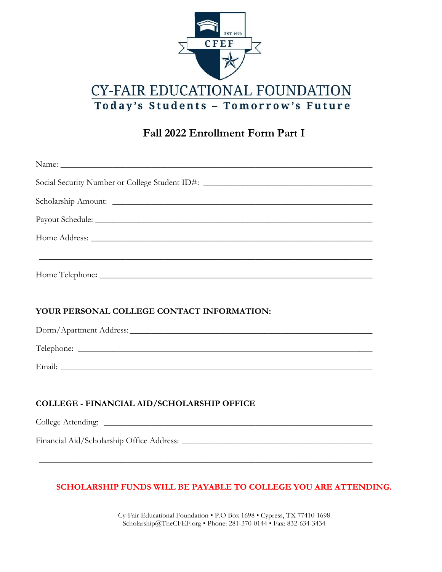

# **Fall 2022 Enrollment Form Part I**

| Social Security Number or College Student ID#: _________________________________                                |
|-----------------------------------------------------------------------------------------------------------------|
|                                                                                                                 |
| Payout Schedule: New York Changes and Schedule Schedule Schedule Schedule Schedule Schedule Schedule Schedule S |
|                                                                                                                 |
|                                                                                                                 |
|                                                                                                                 |
|                                                                                                                 |
|                                                                                                                 |
| YOUR PERSONAL COLLEGE CONTACT INFORMATION:                                                                      |
|                                                                                                                 |
|                                                                                                                 |
|                                                                                                                 |
|                                                                                                                 |
| <b>COLLEGE - FINANCIAL AID/SCHOLARSHIP OFFICE</b>                                                               |
|                                                                                                                 |

## **SCHOLARSHIP FUNDS WILL BE PAYABLE TO COLLEGE YOU ARE ATTENDING.**

**\_\_\_\_\_\_\_\_\_\_\_\_\_\_\_\_\_\_\_\_\_\_\_\_\_\_\_\_\_\_\_\_\_\_\_\_\_\_\_\_\_\_\_\_\_\_\_\_\_\_\_\_\_\_\_\_\_\_\_\_\_\_\_\_\_\_\_\_\_\_\_\_\_\_\_\_\_**

Cy-Fair Educational Foundation • P.O Box 1698 • Cypress, TX 77410-1698 Scholarship@TheCFEF.org • Phone: 281-370-0144 • Fax: 832-634-3434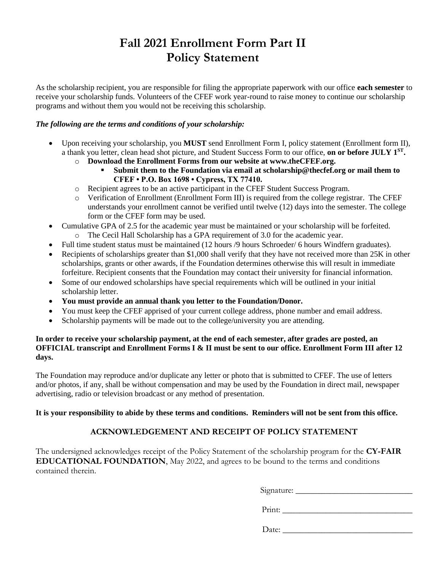# **Fall 2021 Enrollment Form Part II Policy Statement**

As the scholarship recipient, you are responsible for filing the appropriate paperwork with our office **each semester** to receive your scholarship funds. Volunteers of the CFEF work year-round to raise money to continue our scholarship programs and without them you would not be receiving this scholarship.

#### *The following are the terms and conditions of your scholarship:*

- Upon receiving your scholarship, you **MUST** send Enrollment Form I, policy statement (Enrollment form II), a thank you letter, clean head shot picture, and Student Success Form to our office, **on or before JULY 1ST .** 
	- o **Download the Enrollment Forms from our website at www.theCFEF.org.** 
		- Submit them to the Foundation via email at scholarship@thecfef.org or mail them to **CFEF • P.O. Box 1698 • Cypress, TX 77410.**
	- o Recipient agrees to be an active participant in the CFEF Student Success Program.
	- o Verification of Enrollment (Enrollment Form III) is required from the college registrar. The CFEF understands your enrollment cannot be verified until twelve (12) days into the semester. The college form or the CFEF form may be used.
- Cumulative GPA of 2.5 for the academic year must be maintained or your scholarship will be forfeited. o The Cecil Hall Scholarship has a GPA requirement of 3.0 for the academic year.
- Full time student status must be maintained (12 hours /9 hours Schroeder/ 6 hours Windfern graduates).
- Recipients of scholarships greater than \$1,000 shall verify that they have not received more than 25K in other scholarships, grants or other awards, if the Foundation determines otherwise this will result in immediate forfeiture. Recipient consents that the Foundation may contact their university for financial information.
- Some of our endowed scholarships have special requirements which will be outlined in your initial scholarship letter.
- **You must provide an annual thank you letter to the Foundation/Donor.**
- You must keep the CFEF apprised of your current college address, phone number and email address.
- Scholarship payments will be made out to the college/university you are attending.

#### **In order to receive your scholarship payment, at the end of each semester, after grades are posted, an OFFICIAL transcript and Enrollment Forms I & II must be sent to our office. Enrollment Form III after 12 days.**

The Foundation may reproduce and/or duplicate any letter or photo that is submitted to CFEF. The use of letters and/or photos, if any, shall be without compensation and may be used by the Foundation in direct mail, newspaper advertising, radio or television broadcast or any method of presentation.

#### **It is your responsibility to abide by these terms and conditions. Reminders will not be sent from this office.**

### **ACKNOWLEDGEMENT AND RECEIPT OF POLICY STATEMENT**

The undersigned acknowledges receipt of the Policy Statement of the scholarship program for the **CY-FAIR EDUCATIONAL FOUNDATION**, May 2022, and agrees to be bound to the terms and conditions contained therein.

Signature: \_\_\_\_\_\_\_\_\_\_\_\_\_\_\_\_\_\_\_\_\_\_\_\_\_\_\_

Print: \_\_\_\_\_\_\_\_\_\_\_\_\_\_\_\_\_\_\_\_\_\_\_\_\_\_\_\_\_\_

Date: